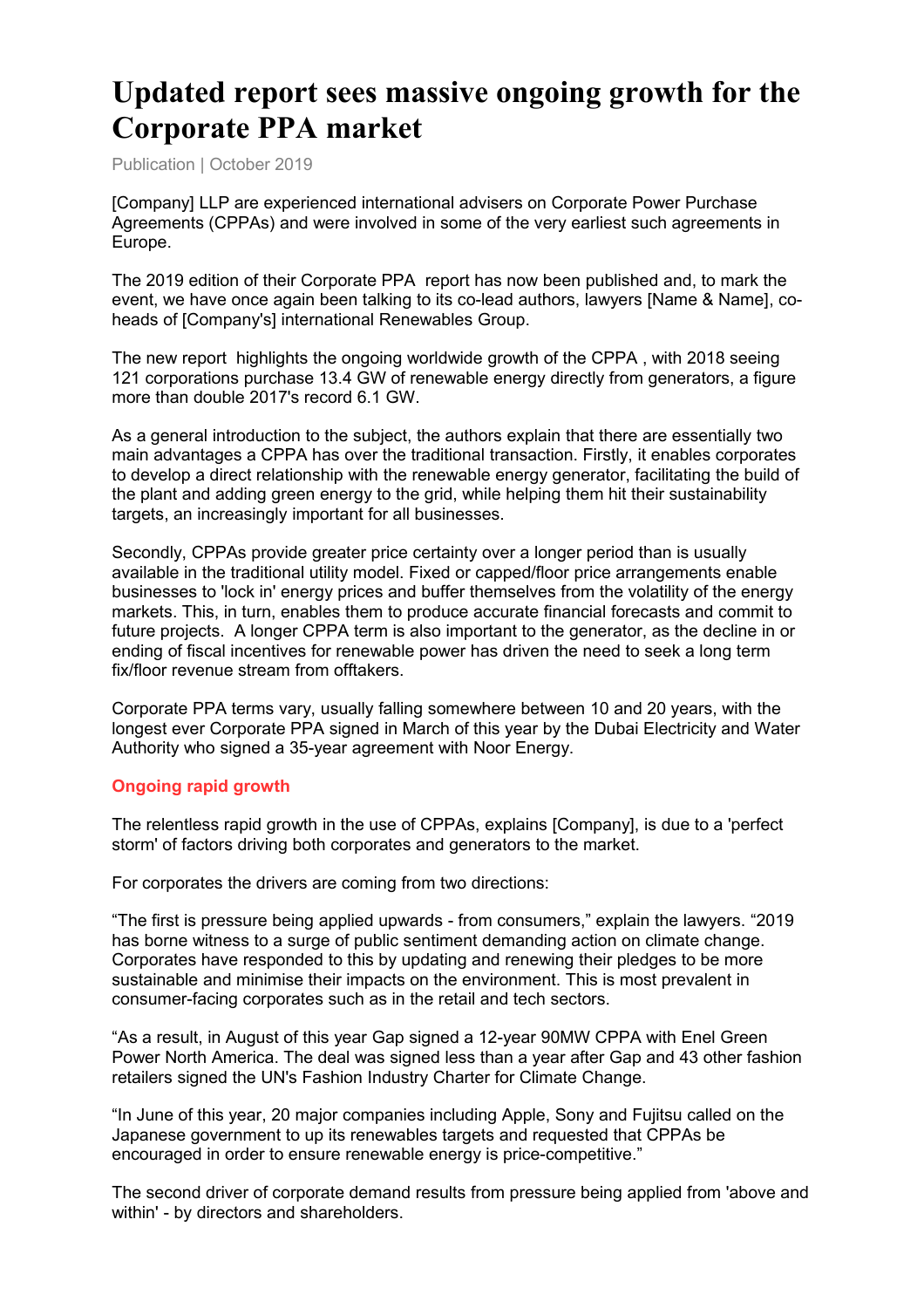# **Updated report sees massive ongoing growth for the Corporate PPA market**

Publication | October 2019

[Company] LLP are experienced international advisers on Corporate Power Purchase Agreements (CPPAs) and were involved in some of the very earliest such agreements in Europe.

The 2019 edition of their Corporate PPA report has now been published and, to mark the event, we have once again been talking to its co-lead authors, lawyers [Name & Name], coheads of [Company's] international Renewables Group.

The new report highlights the ongoing worldwide growth of the CPPA , with 2018 seeing 121 corporations purchase 13.4 GW of renewable energy directly from generators, a figure more than double 2017's record 6.1 GW.

As a general introduction to the subject, the authors explain that there are essentially two main advantages a CPPA has over the traditional transaction. Firstly, it enables corporates to develop a direct relationship with the renewable energy generator, facilitating the build of the plant and adding green energy to the grid, while helping them hit their sustainability targets, an increasingly important for all businesses.

Secondly, CPPAs provide greater price certainty over a longer period than is usually available in the traditional utility model. Fixed or capped/floor price arrangements enable businesses to 'lock in' energy prices and buffer themselves from the volatility of the energy markets. This, in turn, enables them to produce accurate financial forecasts and commit to future projects. A longer CPPA term is also important to the generator, as the decline in or ending of fiscal incentives for renewable power has driven the need to seek a long term fix/floor revenue stream from offtakers.

Corporate PPA terms vary, usually falling somewhere between 10 and 20 years, with the longest ever Corporate PPA signed in March of this year by the Dubai Electricity and Water Authority who signed a 35-year agreement with Noor Energy.

#### **Ongoing rapid growth**

The relentless rapid growth in the use of CPPAs, explains [Company], is due to a 'perfect storm' of factors driving both corporates and generators to the market.

For corporates the drivers are coming from two directions:

"The first is pressure being applied upwards - from consumers," explain the lawyers. "2019 has borne witness to a surge of public sentiment demanding action on climate change. Corporates have responded to this by updating and renewing their pledges to be more sustainable and minimise their impacts on the environment. This is most prevalent in consumer-facing corporates such as in the retail and tech sectors.

"As a result, in August of this year Gap signed a 12-year 90MW CPPA with Enel Green Power North America. The deal was signed less than a year after Gap and 43 other fashion retailers signed the UN's Fashion Industry Charter for Climate Change.

"In June of this year, 20 major companies including Apple, Sony and Fujitsu called on the Japanese government to up its renewables targets and requested that CPPAs be encouraged in order to ensure renewable energy is price-competitive."

The second driver of corporate demand results from pressure being applied from 'above and within' - by directors and shareholders.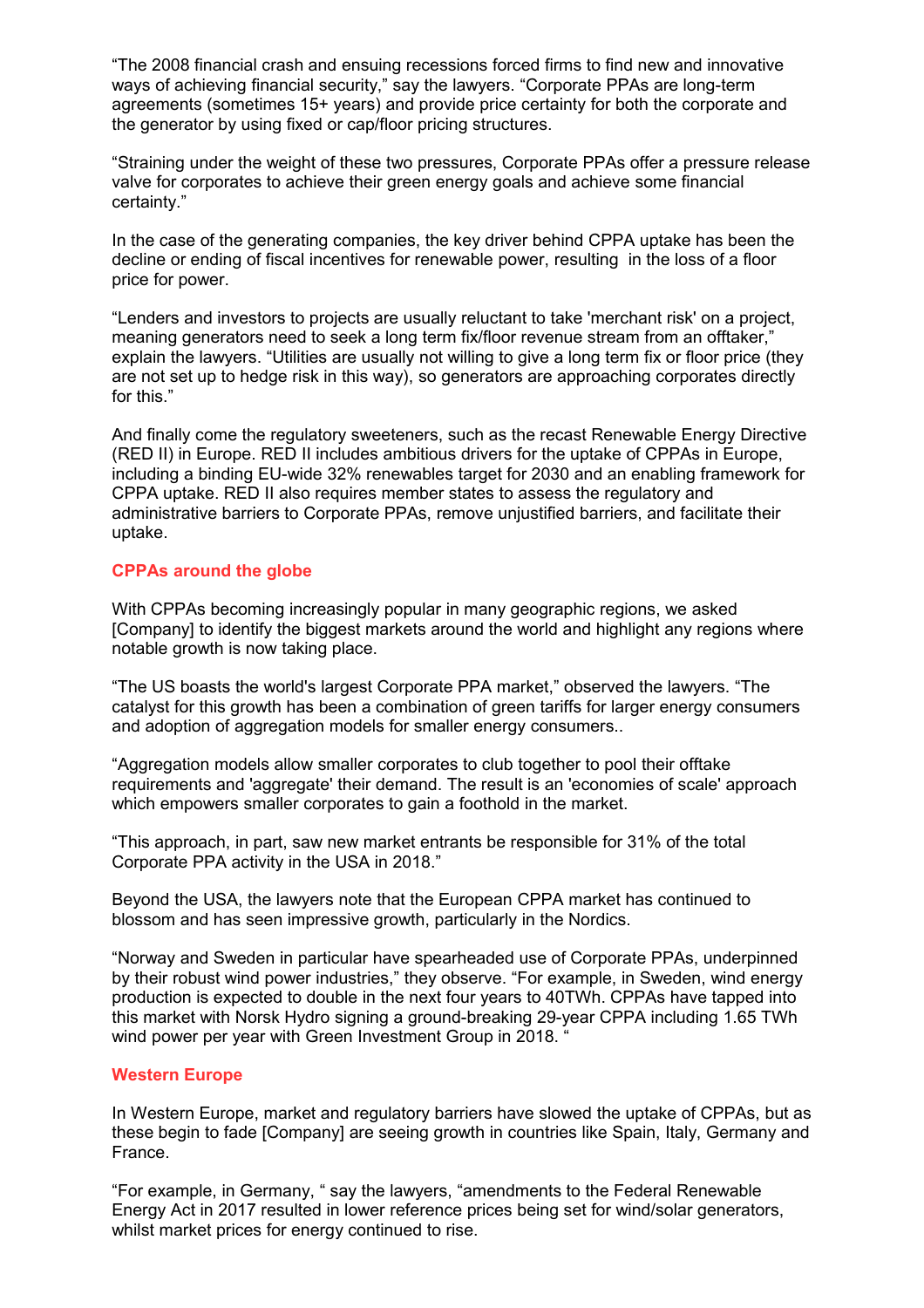"The 2008 financial crash and ensuing recessions forced firms to find new and innovative ways of achieving financial security," say the lawyers. "Corporate PPAs are long-term agreements (sometimes 15+ years) and provide price certainty for both the corporate and the generator by using fixed or cap/floor pricing structures.

"Straining under the weight of these two pressures, Corporate PPAs offer a pressure release valve for corporates to achieve their green energy goals and achieve some financial certainty."

In the case of the generating companies, the key driver behind CPPA uptake has been the decline or ending of fiscal incentives for renewable power, resulting in the loss of a floor price for power.

"Lenders and investors to projects are usually reluctant to take 'merchant risk' on a project, meaning generators need to seek a long term fix/floor revenue stream from an offtaker," explain the lawyers. "Utilities are usually not willing to give a long term fix or floor price (they are not set up to hedge risk in this way), so generators are approaching corporates directly for this."

And finally come the regulatory sweeteners, such as the recast Renewable Energy Directive (RED II) in Europe. RED II includes ambitious drivers for the uptake of CPPAs in Europe, including a binding EU-wide 32% renewables target for 2030 and an enabling framework for CPPA uptake. RED II also requires member states to assess the regulatory and administrative barriers to Corporate PPAs, remove unjustified barriers, and facilitate their uptake.

#### **CPPAs around the globe**

With CPPAs becoming increasingly popular in many geographic regions, we asked [Company] to identify the biggest markets around the world and highlight any regions where notable growth is now taking place.

"The US boasts the world's largest Corporate PPA market," observed the lawyers. "The catalyst for this growth has been a combination of green tariffs for larger energy consumers and adoption of aggregation models for smaller energy consumers..

"Aggregation models allow smaller corporates to club together to pool their offtake requirements and 'aggregate' their demand. The result is an 'economies of scale' approach which empowers smaller corporates to gain a foothold in the market.

"This approach, in part, saw new market entrants be responsible for 31% of the total Corporate PPA activity in the USA in 2018."

Beyond the USA, the lawyers note that the European CPPA market has continued to blossom and has seen impressive growth, particularly in the Nordics.

"Norway and Sweden in particular have spearheaded use of Corporate PPAs, underpinned by their robust wind power industries," they observe. "For example, in Sweden, wind energy production is expected to double in the next four years to 40TWh. CPPAs have tapped into this market with Norsk Hydro signing a ground-breaking 29-year CPPA including 1.65 TWh wind power per year with Green Investment Group in 2018.

#### **Western Europe**

In Western Europe, market and regulatory barriers have slowed the uptake of CPPAs, but as these begin to fade [Company] are seeing growth in countries like Spain, Italy, Germany and France.

"For example, in Germany, " say the lawyers, "amendments to the Federal Renewable Energy Act in 2017 resulted in lower reference prices being set for wind/solar generators, whilst market prices for energy continued to rise.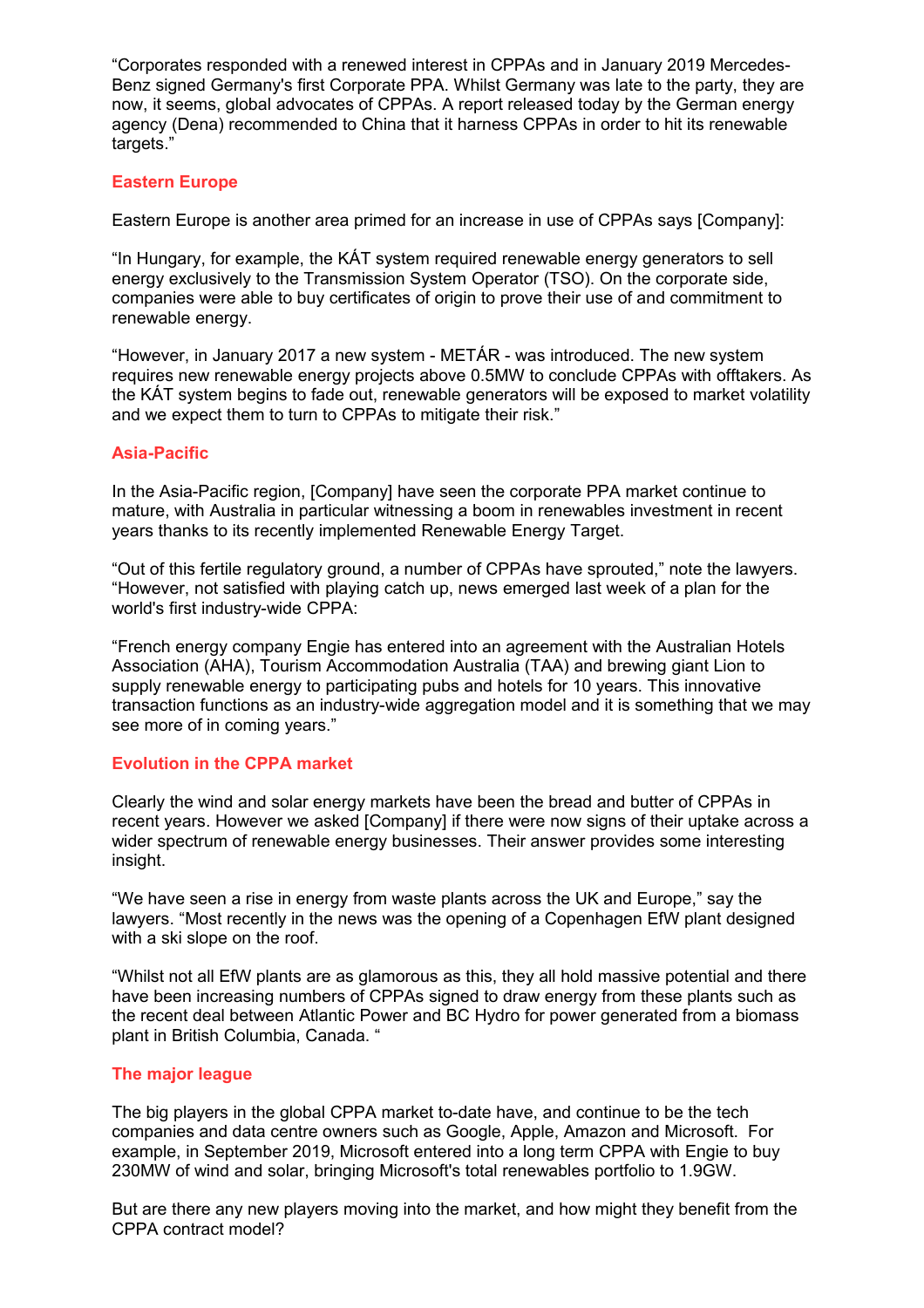"Corporates responded with a renewed interest in CPPAs and in January 2019 Mercedes-Benz signed Germany's first Corporate PPA. Whilst Germany was late to the party, they are now, it seems, global advocates of CPPAs. A report released today by the German energy agency (Dena) recommended to China that it harness CPPAs in order to hit its renewable targets."

# **Eastern Europe**

Eastern Europe is another area primed for an increase in use of CPPAs says [Company]:

"In Hungary, for example, the KÁT system required renewable energy generators to sell energy exclusively to the Transmission System Operator (TSO). On the corporate side, companies were able to buy certificates of origin to prove their use of and commitment to renewable energy.

"However, in January 2017 a new system - METÁR - was introduced. The new system requires new renewable energy projects above 0.5MW to conclude CPPAs with offtakers. As the KÁT system begins to fade out, renewable generators will be exposed to market volatility and we expect them to turn to CPPAs to mitigate their risk."

# **Asia-Pacific**

In the Asia-Pacific region, [Company] have seen the corporate PPA market continue to mature, with Australia in particular witnessing a boom in renewables investment in recent years thanks to its recently implemented Renewable Energy Target.

"Out of this fertile regulatory ground, a number of CPPAs have sprouted," note the lawyers. "However, not satisfied with playing catch up, news emerged last week of a plan for the world's first industry-wide CPPA:

"French energy company Engie has entered into an agreement with the Australian Hotels Association (AHA), Tourism Accommodation Australia (TAA) and brewing giant Lion to supply renewable energy to participating pubs and hotels for 10 years. This innovative transaction functions as an industry-wide aggregation model and it is something that we may see more of in coming years."

#### **Evolution in the CPPA market**

Clearly the wind and solar energy markets have been the bread and butter of CPPAs in recent years. However we asked [Company] if there were now signs of their uptake across a wider spectrum of renewable energy businesses. Their answer provides some interesting insight.

"We have seen a rise in energy from waste plants across the UK and Europe," say the lawyers. "Most recently in the news was the opening of a Copenhagen EfW plant designed with a ski slope on the roof.

"Whilst not all EfW plants are as glamorous as this, they all hold massive potential and there have been increasing numbers of CPPAs signed to draw energy from these plants such as the recent deal between Atlantic Power and BC Hydro for power generated from a biomass plant in British Columbia, Canada. "

#### **The major league**

The big players in the global CPPA market to-date have, and continue to be the tech companies and data centre owners such as Google, Apple, Amazon and Microsoft. For example, in September 2019, Microsoft entered into a long term CPPA with Engie to buy 230MW of wind and solar, bringing Microsoft's total renewables portfolio to 1.9GW.

But are there any new players moving into the market, and how might they benefit from the CPPA contract model?